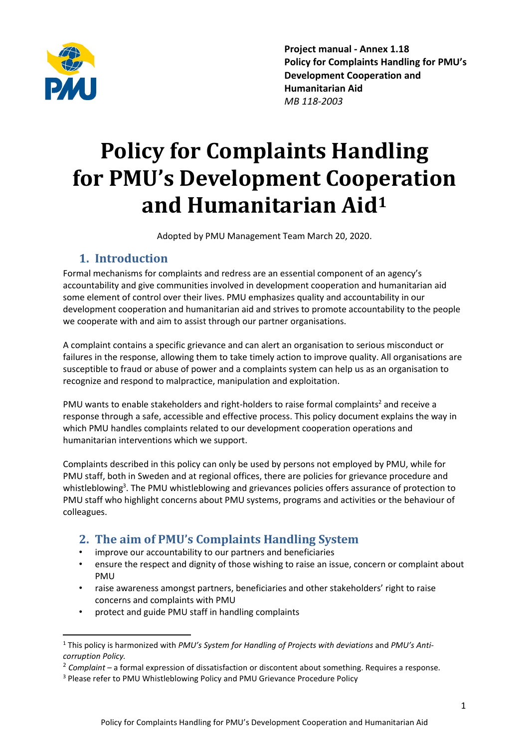

Project manual - Annex 1.18 Policy for Complaints Handling for PMU's Development Cooperation and Humanitarian Aid *MB 118-2003*

# Policy for Complaints Handling for PMU's Development Cooperation and Humanitarian Aid<sup>1</sup>

Adopted by PMU Management Team March 20, 2020.

#### 1. Introduction

Formal mechanisms for complaints and redress are an essential component of an agency's accountability and give communities involved in development cooperation and humanitarian aid some element of control over their lives. PMU emphasizes quality and accountability in our development cooperation and humanitarian aid and strives to promote accountability to the people we cooperate with and aim to assist through our partner organisations.

A complaint contains a specific grievance and can alert an organisation to serious misconduct or failures in the response, allowing them to take timely action to improve quality. All organisations are susceptible to fraud or abuse of power and a complaints system can help us as an organisation to recognize and respond to malpractice, manipulation and exploitation.

PMU wants to enable stakeholders and right-holders to raise formal complaints<sup>2</sup> and receive a response through a safe, accessible and effective process. This policy document explains the way in which PMU handles complaints related to our development cooperation operations and humanitarian interventions which we support.

Complaints described in this policy can only be used by persons not employed by PMU, while for PMU staff, both in Sweden and at regional offices, there are policies for grievance procedure and whistleblowing<sup>3</sup>. The PMU whistleblowing and grievances policies offers assurance of protection to PMU staff who highlight concerns about PMU systems, programs and activities or the behaviour of colleagues.

#### 2. The aim of PMU's Complaints Handling System

- improve our accountability to our partners and beneficiaries
- ensure the respect and dignity of those wishing to raise an issue, concern or complaint about PMU
- raise awareness amongst partners, beneficiaries and other stakeholders' right to raise concerns and complaints with PMU
- protect and guide PMU staff in handling complaints

 <sup>1</sup> This policy is harmonized with *PMU's System for Handling of Projects with deviations* and *PMU's Anticorruption Policy.*

<sup>2</sup> *Complaint* – a formal expression of dissatisfaction or discontent about something. Requires a response.

<sup>3</sup> Please refer to PMU Whistleblowing Policy and PMU Grievance Procedure Policy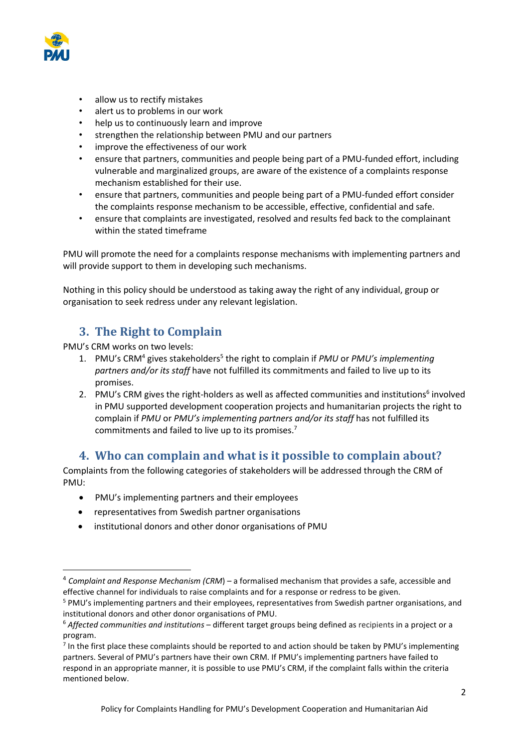

- allow us to rectify mistakes
- alert us to problems in our work
- help us to continuously learn and improve
- strengthen the relationship between PMU and our partners
- improve the effectiveness of our work
- ensure that partners, communities and people being part of a PMU-funded effort, including vulnerable and marginalized groups, are aware of the existence of a complaints response mechanism established for their use.
- ensure that partners, communities and people being part of a PMU-funded effort consider the complaints response mechanism to be accessible, effective, confidential and safe.
- ensure that complaints are investigated, resolved and results fed back to the complainant within the stated timeframe

PMU will promote the need for a complaints response mechanisms with implementing partners and will provide support to them in developing such mechanisms.

Nothing in this policy should be understood as taking away the right of any individual, group or organisation to seek redress under any relevant legislation.

## 3. The Right to Complain

PMU's CRM works on two levels:

- 1. PMU's CRM4 gives stakeholders5 the right to complain if *PMU* or *PMU's implementing partners and/or its staff* have not fulfilled its commitments and failed to live up to its promises.
- 2. PMU's CRM gives the right-holders as well as affected communities and institutions<sup>6</sup> involved in PMU supported development cooperation projects and humanitarian projects the right to complain if *PMU* or *PMU's implementing partners and/or its staff* has not fulfilled its commitments and failed to live up to its promises.7

#### 4. Who can complain and what is it possible to complain about?

Complaints from the following categories of stakeholders will be addressed through the CRM of PMU:

- PMU's implementing partners and their employees
- representatives from Swedish partner organisations
- institutional donors and other donor organisations of PMU

 <sup>4</sup> *Complaint and Response Mechanism (CRM*) – a formalised mechanism that provides a safe, accessible and effective channel for individuals to raise complaints and for a response or redress to be given.

<sup>5</sup> PMU's implementing partners and their employees, representatives from Swedish partner organisations, and institutional donors and other donor organisations of PMU.

<sup>6</sup> *Affected communities and institutions* – different target groups being defined as recipients in a project or a program.

 $<sup>7</sup>$  In the first place these complaints should be reported to and action should be taken by PMU's implementing</sup> partners. Several of PMU's partners have their own CRM. If PMU's implementing partners have failed to respond in an appropriate manner, it is possible to use PMU's CRM, if the complaint falls within the criteria mentioned below.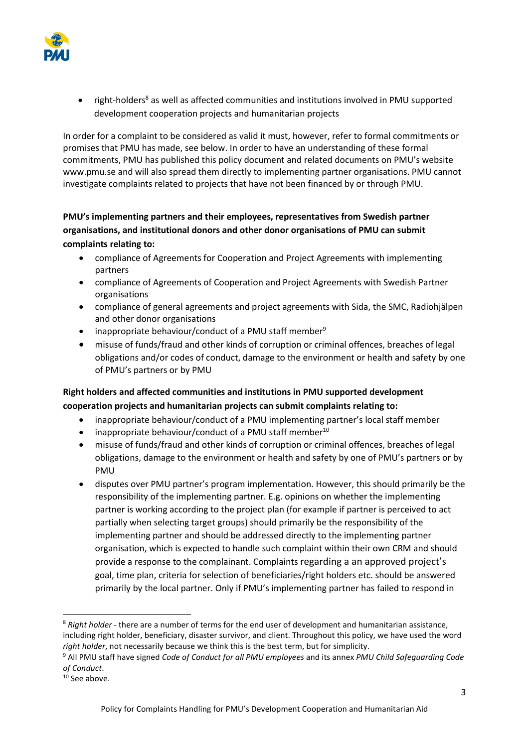

• right-holders<sup>8</sup> as well as affected communities and institutions involved in PMU supported development cooperation projects and humanitarian projects

In order for a complaint to be considered as valid it must, however, refer to formal commitments or promises that PMU has made, see below. In order to have an understanding of these formal commitments, PMU has published this policy document and related documents on PMU's website [www.pmu.se](http://www.pmu.se/) and will also spread them directly to implementing partner organisations. PMU cannot investigate complaints related to projects that have not been financed by or through PMU.

#### PMU's implementing partners and their employees, representatives from Swedish partner organisations, and institutional donors and other donor organisations of PMU can submit complaints relating to:

- compliance of Agreements for Cooperation and Project Agreements with implementing partners
- compliance of Agreements of Cooperation and Project Agreements with Swedish Partner organisations
- compliance of general agreements and project agreements with Sida, the SMC, Radiohjälpen and other donor organisations
- inappropriate behaviour/conduct of a PMU staff member<sup>9</sup>
- misuse of funds/fraud and other kinds of corruption or criminal offences, breaches of legal obligations and/or codes of conduct, damage to the environment or health and safety by one of PMU's partners or by PMU

#### Right holders and affected communities and institutions in PMU supported development cooperation projects and humanitarian projects can submit complaints relating to:

- inappropriate behaviour/conduct of a PMU implementing partner's local staff member
- $\bullet$  inappropriate behaviour/conduct of a PMU staff member<sup>10</sup>
- misuse of funds/fraud and other kinds of corruption or criminal offences, breaches of legal obligations, damage to the environment or health and safety by one of PMU's partners or by PMU
- disputes over PMU partner's program implementation. However, this should primarily be the responsibility of the implementing partner. E.g. opinions on whether the implementing partner is working according to the project plan (for example if partner is perceived to act partially when selecting target groups) should primarily be the responsibility of the implementing partner and should be addressed directly to the implementing partner organisation, which is expected to handle such complaint within their own CRM and should provide a response to the complainant. Complaints regarding a an approved project's goal, time plan, criteria for selection of beneficiaries/right holders etc. should be answered primarily by the local partner. Only if PMU's implementing partner has failed to respond in

 <sup>8</sup> *Right holder* - there are a number of terms for the end user of development and humanitarian assistance, including right holder, beneficiary, disaster survivor, and client. Throughout this policy, we have used the word *right holder*, not necessarily because we think this is the best term, but for simplicity.

<sup>9</sup> All PMU staff have signed *Code of Conduct for all PMU employees* and its annex *PMU Child Safeguarding Code of Conduct*.

<sup>&</sup>lt;sup>10</sup> See above.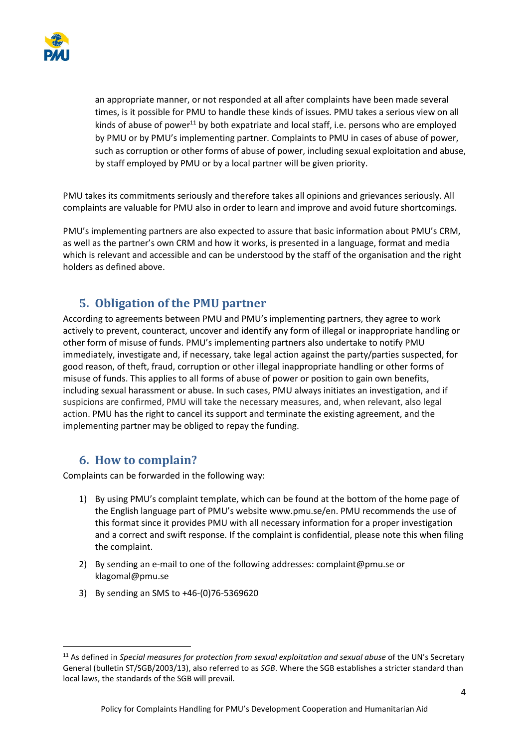

an appropriate manner, or not responded at all after complaints have been made several times, is it possible for PMU to handle these kinds of issues. PMU takes a serious view on all kinds of abuse of power<sup>11</sup> by both expatriate and local staff, i.e. persons who are employed by PMU or by PMU's implementing partner. Complaints to PMU in cases of abuse of power, such as corruption or other forms of abuse of power, including sexual exploitation and abuse, by staff employed by PMU or by a local partner will be given priority.

PMU takes its commitments seriously and therefore takes all opinions and grievances seriously. All complaints are valuable for PMU also in order to learn and improve and avoid future shortcomings.

PMU's implementing partners are also expected to assure that basic information about PMU's CRM, as well as the partner's own CRM and how it works, is presented in a language, format and media which is relevant and accessible and can be understood by the staff of the organisation and the right holders as defined above.

## **5. Obligation of the PMU partner**

According to agreements between PMU and PMU's implementing partners, they agree to work actively to prevent, counteract, uncover and identify any form of illegal or inappropriate handling or other form of misuse of funds. PMU's implementing partners also undertake to notify PMU immediately, investigate and, if necessary, take legal action against the party/parties suspected, for good reason, of theft, fraud, corruption or other illegal inappropriate handling or other forms of misuse of funds. This applies to all forms of abuse of power or position to gain own benefits, including sexual harassment or abuse. In such cases, PMU always initiates an investigation, and if suspicions are confirmed, PMU will take the necessary measures, and, when relevant, also legal action. PMU has the right to cancel its support and terminate the existing agreement, and the implementing partner may be obliged to repay the funding.

#### 6. How to complain?

Complaints can be forwarded in the following way:

- 1) By using PMU's complaint template, which can be found at the bottom of the home page of the English language part of PMU's website [www.pmu.se/en](http://www.pmu.se/). PMU recommends the use of this format since it provides PMU with all necessary information for a proper investigation and a correct and swift response. If the complaint is confidential, please note this when filing the complaint.
- 2) By sending an e-mail to one of the following addresses: [complaint@pmu.se](mailto:complaint@pmu.se) or [klagomal@pmu.se](mailto:klagomal@pmu.se)
- 3) By sending an SMS to +46-(0)76-5369620

 <sup>11</sup> As defined in *Special measures for protection from sexual exploitation and sexual abuse* of the UN's Secretary General (bulletin ST/SGB/2003/13), also referred to as *SGB*. Where the SGB establishes a stricter standard than local laws, the standards of the SGB will prevail.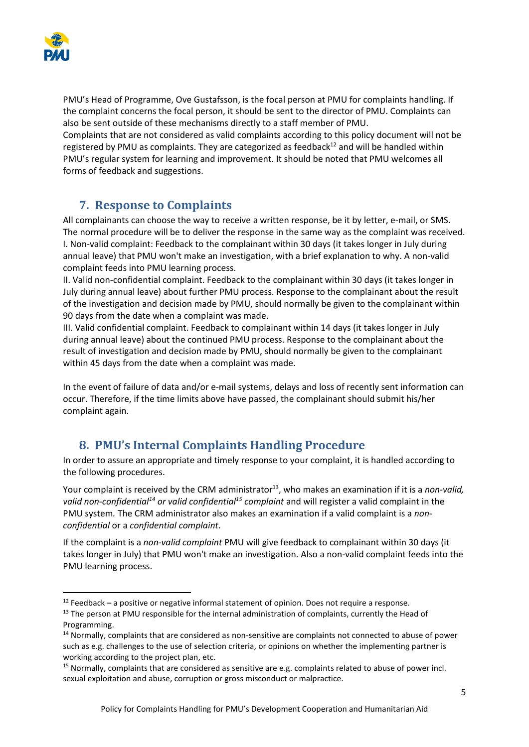

PMU's Head of Programme, Ove Gustafsson, is the focal person at PMU for complaints handling. If the complaint concerns the focal person, it should be sent to the director of PMU. Complaints can also be sent outside of these mechanisms directly to a staff member of PMU. Complaints that are not considered as valid complaints according to this policy document will not be registered by PMU as complaints. They are categorized as feedback $^{12}$  and will be handled within PMU's regular system for learning and improvement. It should be noted that PMU welcomes all forms of feedback and suggestions.

## **7. Response to Complaints**

All complainants can choose the way to receive a written response, be it by letter, e-mail, or SMS. The normal procedure will be to deliver the response in the same way as the complaint was received. I. Non-valid complaint: Feedback to the complainant within 30 days (it takes longer in July during annual leave) that PMU won't make an investigation, with a brief explanation to why. A non-valid complaint feeds into PMU learning process.

II. Valid non-confidential complaint. Feedback to the complainant within 30 days (it takes longer in July during annual leave) about further PMU process. Response to the complainant about the result of the investigation and decision made by PMU, should normally be given to the complainant within 90 days from the date when a complaint was made.

III. Valid confidential complaint. Feedback to complainant within 14 days (it takes longer in July during annual leave) about the continued PMU process. Response to the complainant about the result of investigation and decision made by PMU, should normally be given to the complainant within 45 days from the date when a complaint was made.

In the event of failure of data and/or e-mail systems, delays and loss of recently sent information can occur. Therefore, if the time limits above have passed, the complainant should submit his/her complaint again.

#### 8. PMU's Internal Complaints Handling Procedure

In order to assure an appropriate and timely response to your complaint, it is handled according to the following procedures.

Your complaint is received by the CRM administrator<sup>13</sup>, who makes an examination if it is a *non-valid*, *valid non-confidential14 or valid confidential15 complaint* and will register a valid complaint in the PMU system*.* The CRM administrator also makes an examination if a valid complaint is a *nonconfidential* or a *confidential complaint*.

If the complaint is a *non-valid complaint* PMU will give feedback to complainant within 30 days (it takes longer in July) that PMU won't make an investigation. Also a non-valid complaint feeds into the PMU learning process.

 $12$  Feedback – a positive or negative informal statement of opinion. Does not require a response.

<sup>&</sup>lt;sup>13</sup> The person at PMU responsible for the internal administration of complaints, currently the Head of Programming.

<sup>&</sup>lt;sup>14</sup> Normally, complaints that are considered as non-sensitive are complaints not connected to abuse of power such as e.g. challenges to the use of selection criteria, or opinions on whether the implementing partner is working according to the project plan, etc.

<sup>&</sup>lt;sup>15</sup> Normally, complaints that are considered as sensitive are e.g. complaints related to abuse of power incl. sexual exploitation and abuse, corruption or gross misconduct or malpractice.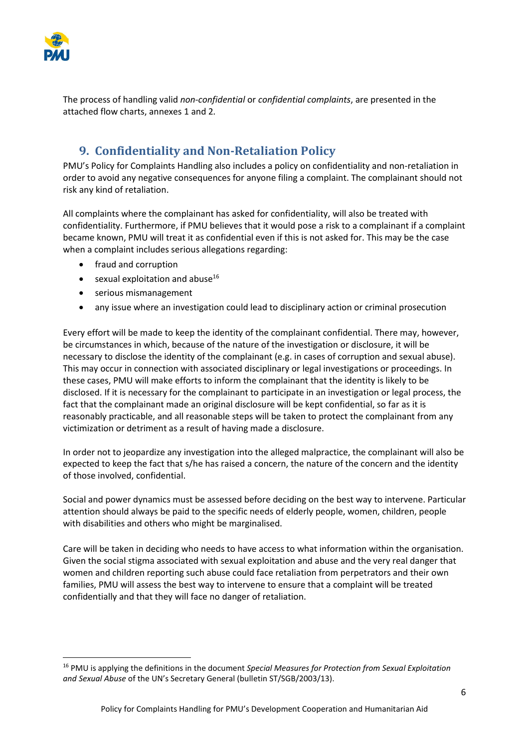

The process of handling valid *non-confidential* or *confidential complaints*, are presented in the attached flow charts, annexes 1 and 2*.*

## 9. Confidentiality and Non-Retaliation Policy

PMU's Policy for Complaints Handling also includes a policy on confidentiality and non-retaliation in order to avoid any negative consequences for anyone filing a complaint. The complainant should not risk any kind of retaliation.

All complaints where the complainant has asked for confidentiality, will also be treated with confidentiality. Furthermore, if PMU believes that it would pose a risk to a complainant if a complaint became known, PMU will treat it as confidential even if this is not asked for. This may be the case when a complaint includes serious allegations regarding:

- fraud and corruption
- $\bullet$  sexual exploitation and abuse<sup>16</sup>
- serious mismanagement
- any issue where an investigation could lead to disciplinary action or criminal prosecution

Every effort will be made to keep the identity of the complainant confidential. There may, however, be circumstances in which, because of the nature of the investigation or disclosure, it will be necessary to disclose the identity of the complainant (e.g. in cases of corruption and sexual abuse). This may occur in connection with associated disciplinary or legal investigations or proceedings. In these cases, PMU will make efforts to inform the complainant that the identity is likely to be disclosed. If it is necessary for the complainant to participate in an investigation or legal process, the fact that the complainant made an original disclosure will be kept confidential, so far as it is reasonably practicable, and all reasonable steps will be taken to protect the complainant from any victimization or detriment as a result of having made a disclosure.

In order not to jeopardize any investigation into the alleged malpractice, the complainant will also be expected to keep the fact that s/he has raised a concern, the nature of the concern and the identity of those involved, confidential.

Social and power dynamics must be assessed before deciding on the best way to intervene. Particular attention should always be paid to the specific needs of elderly people, women, children, people with disabilities and others who might be marginalised.

Care will be taken in deciding who needs to have access to what information within the organisation. Given the social stigma associated with sexual exploitation and abuse and the very real danger that women and children reporting such abuse could face retaliation from perpetrators and their own families, PMU will assess the best way to intervene to ensure that a complaint will be treated confidentially and that they will face no danger of retaliation.

 <sup>16</sup> PMU is applying the definitions in the document *Special Measures for Protection from Sexual Exploitation and Sexual Abuse* of the UN's Secretary General (bulletin ST/SGB/2003/13).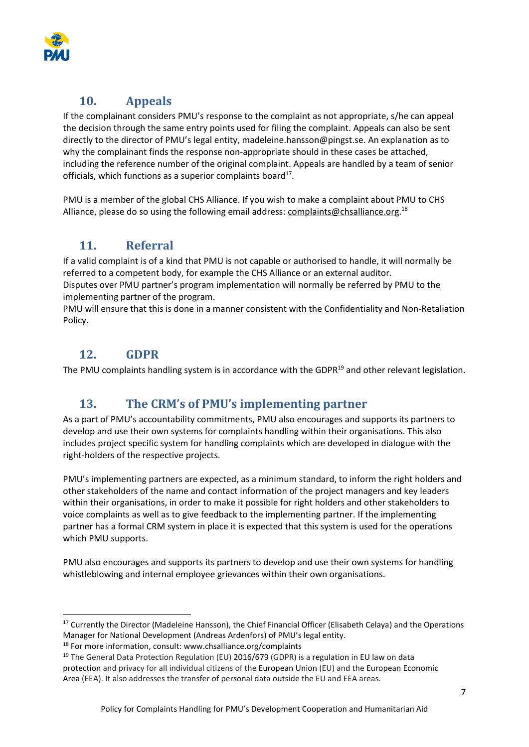

## 10. Appeals

If the complainant considers PMU's response to the complaint as not appropriate, s/he can appeal the decision through the same entry points used for filing the complaint. Appeals can also be sent directly to the director of PMU's legal entity, madeleine.hansson@pingst.se. An explanation as to why the complainant finds the response non-appropriate should in these cases be attached, including the reference number of the original complaint. Appeals are handled by a team of senior officials, which functions as a superior complaints board $17$ .

PMU is a member of the global CHS Alliance. If you wish to make a complaint about PMU to CHS Alliance, please do so using the following email address: [complaints@chsalliance.org.](mailto:complaints@chsalliance.org)<sup>18</sup>

## 11. Referral

If a valid complaint is of a kind that PMU is not capable or authorised to handle, it will normally be referred to a competent body, for example the CHS Alliance or an external auditor.

Disputes over PMU partner's program implementation will normally be referred by PMU to the implementing partner of the program.

PMU will ensure that this is done in a manner consistent with the Confidentiality and Non-Retaliation Policy.

## 12. GDPR

The PMU complaints handling system is in accordance with the GDPR<sup>19</sup> and other relevant legislation.

## 13. The CRM's of PMU's implementing partner

As a part of PMU's accountability commitments, PMU also encourages and supports its partners to develop and use their own systems for complaints handling within their organisations. This also includes project specific system for handling complaints which are developed in dialogue with the right-holders of the respective projects.

PMU's implementing partners are expected, as a minimum standard, to inform the right holders and other stakeholders of the name and contact information of the project managers and key leaders within their organisations, in order to make it possible for right holders and other stakeholders to voice complaints as well as to give feedback to the implementing partner. If the implementing partner has a formal CRM system in place it is expected that this system is used for the operations which PMU supports.

PMU also encourages and supports its partners to develop and use their own systems for handling whistleblowing and internal employee grievances within their own organisations.

<sup>&</sup>lt;sup>17</sup> Currently the Director (Madeleine Hansson), the Chief Financial Officer (Elisabeth Celaya) and the Operations Manager for National Development (Andreas Ardenfors) of PMU's legal entity.

<sup>&</sup>lt;sup>18</sup> For more information, consult: www.chsalliance.org/complaints

<sup>&</sup>lt;sup>19</sup> The General Data Protection Regulation (EU) 2016/679 (GDPR) is a regulation in EU law on data protection and privacy for all individual citizens of the European Union (EU) and the European Economic Area (EEA). It also addresses the transfer of personal data outside the EU and EEA areas.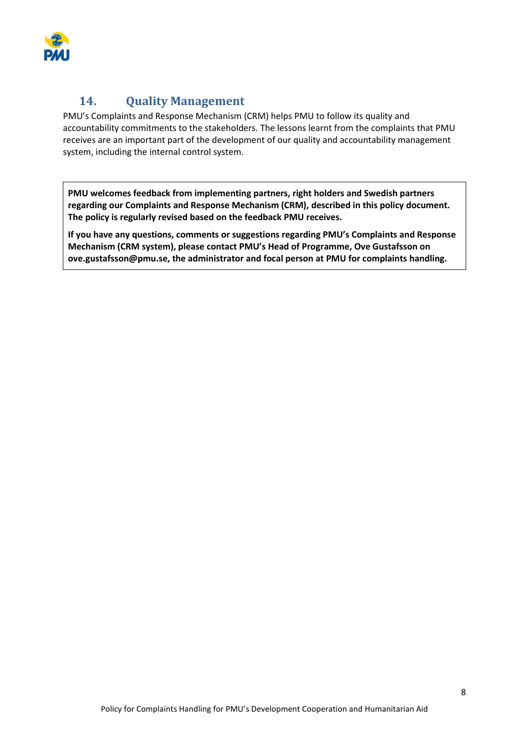

## 14. **Quality Management**

PMU's Complaints and Response Mechanism (CRM) helps PMU to follow its quality and accountability commitments to the stakeholders. The lessons learnt from the complaints that PMU receives are an important part of the development of our quality and accountability management system, including the internal control system.

PMU welcomes feedback from implementing partners, right holders and Swedish partners regarding our Complaints and Response Mechanism (CRM), described in this policy document. The policy is regularly revised based on the feedback PMU receives.

If you have any questions, comments or suggestions regarding PMU's Complaints and Response Mechanism (CRM system), please contact PMU's Head of Programme, Ove Gustafsson on [ove.gustafsson@pmu.se, the a](mailto:ove.gustafsson@pmu.se)dministrator and focal person at PMU for complaints handling.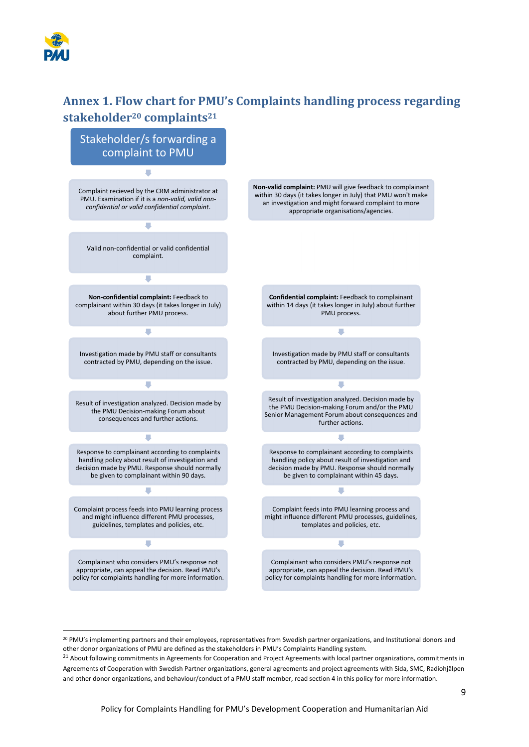

# Annex 1. Flow chart for PMU's Complaints handling process regarding stakeholder<sup>20</sup> complaints<sup>21</sup>



<sup>&</sup>lt;sup>20</sup> PMU's implementing partners and their employees, representatives from Swedish partner organizations, and Institutional donors and other donor organizations of PMU are defined as the stakeholders in PMU's Complaints Handling system.

<sup>&</sup>lt;sup>21</sup> About following commitments in Agreements for Cooperation and Project Agreements with local partner organizations, commitments in Agreements of Cooperation with Swedish Partner organizations, general agreements and project agreements with Sida, SMC, Radiohjälpen and other donor organizations, and behaviour/conduct of a PMU staff member, read section 4 in this policy for more information.